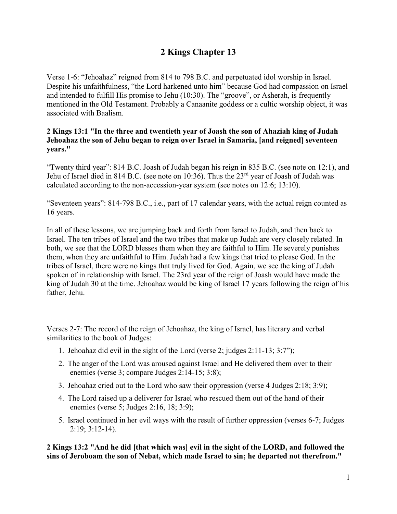# **2 Kings Chapter 13**

Verse 1-6: "Jehoahaz" reigned from 814 to 798 B.C. and perpetuated idol worship in Israel. Despite his unfaithfulness, "the Lord harkened unto him" because God had compassion on Israel and intended to fulfill His promise to Jehu (10:30). The "groove", or Asherah, is frequently mentioned in the Old Testament. Probably a Canaanite goddess or a cultic worship object, it was associated with Baalism.

#### **2 Kings 13:1 "In the three and twentieth year of Joash the son of Ahaziah king of Judah Jehoahaz the son of Jehu began to reign over Israel in Samaria, [and reigned] seventeen years."**

"Twenty third year": 814 B.C. Joash of Judah began his reign in 835 B.C. (see note on 12:1), and Jehu of Israel died in 814 B.C. (see note on 10:36). Thus the 23<sup>rd</sup> year of Joash of Judah was calculated according to the non-accession-year system (see notes on 12:6; 13:10).

"Seventeen years": 814-798 B.C., i.e., part of 17 calendar years, with the actual reign counted as 16 years.

In all of these lessons, we are jumping back and forth from Israel to Judah, and then back to Israel. The ten tribes of Israel and the two tribes that make up Judah are very closely related. In both, we see that the LORD blesses them when they are faithful to Him. He severely punishes them, when they are unfaithful to Him. Judah had a few kings that tried to please God. In the tribes of Israel, there were no kings that truly lived for God. Again, we see the king of Judah spoken of in relationship with Israel. The 23rd year of the reign of Joash would have made the king of Judah 30 at the time. Jehoahaz would be king of Israel 17 years following the reign of his father, Jehu.

Verses 2-7: The record of the reign of Jehoahaz, the king of Israel, has literary and verbal similarities to the book of Judges:

- 1. Jehoahaz did evil in the sight of the Lord (verse 2; judges 2:11-13; 3:7");
- 2. The anger of the Lord was aroused against Israel and He delivered them over to their enemies (verse 3; compare Judges 2:14-15; 3:8);
- 3. Jehoahaz cried out to the Lord who saw their oppression (verse 4 Judges 2:18; 3:9);
- 4. The Lord raised up a deliverer for Israel who rescued them out of the hand of their enemies (verse 5; Judges 2:16, 18; 3:9);
- 5. Israel continued in her evil ways with the result of further oppression (verses 6-7; Judges 2:19; 3:12-14).

**2 Kings 13:2 "And he did [that which was] evil in the sight of the LORD, and followed the sins of Jeroboam the son of Nebat, which made Israel to sin; he departed not therefrom."**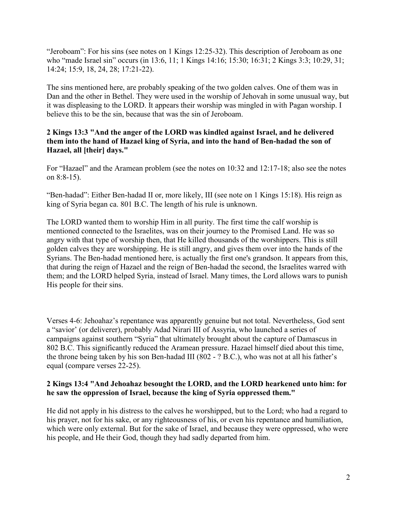"Jeroboam": For his sins (see notes on 1 Kings 12:25-32). This description of Jeroboam as one who "made Israel sin" occurs (in 13:6, 11; 1 Kings 14:16; 15:30; 16:31; 2 Kings 3:3; 10:29, 31; 14:24; 15:9, 18, 24, 28; 17:21-22).

The sins mentioned here, are probably speaking of the two golden calves. One of them was in Dan and the other in Bethel. They were used in the worship of Jehovah in some unusual way, but it was displeasing to the LORD. It appears their worship was mingled in with Pagan worship. I believe this to be the sin, because that was the sin of Jeroboam.

### **2 Kings 13:3 "And the anger of the LORD was kindled against Israel, and he delivered them into the hand of Hazael king of Syria, and into the hand of Ben-hadad the son of Hazael, all [their] days."**

For "Hazael" and the Aramean problem (see the notes on 10:32 and 12:17-18; also see the notes on 8:8-15).

"Ben-hadad": Either Ben-hadad II or, more likely, III (see note on 1 Kings 15:18). His reign as king of Syria began ca. 801 B.C. The length of his rule is unknown.

The LORD wanted them to worship Him in all purity. The first time the calf worship is mentioned connected to the Israelites, was on their journey to the Promised Land. He was so angry with that type of worship then, that He killed thousands of the worshippers. This is still golden calves they are worshipping. He is still angry, and gives them over into the hands of the Syrians. The Ben-hadad mentioned here, is actually the first one's grandson. It appears from this, that during the reign of Hazael and the reign of Ben-hadad the second, the Israelites warred with them; and the LORD helped Syria, instead of Israel. Many times, the Lord allows wars to punish His people for their sins.

Verses 4-6: Jehoahaz's repentance was apparently genuine but not total. Nevertheless, God sent a "savior' (or deliverer), probably Adad Nirari III of Assyria, who launched a series of campaigns against southern "Syria" that ultimately brought about the capture of Damascus in 802 B.C. This significantly reduced the Aramean pressure. Hazael himself died about this time, the throne being taken by his son Ben-hadad III (802 - ? B.C.), who was not at all his father's equal (compare verses 22-25).

### **2 Kings 13:4 "And Jehoahaz besought the LORD, and the LORD hearkened unto him: for he saw the oppression of Israel, because the king of Syria oppressed them."**

He did not apply in his distress to the calves he worshipped, but to the Lord; who had a regard to his prayer, not for his sake, or any righteousness of his, or even his repentance and humiliation, which were only external. But for the sake of Israel, and because they were oppressed, who were his people, and He their God, though they had sadly departed from him.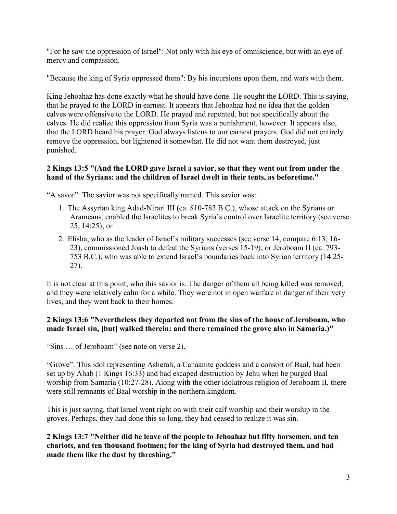"For he saw the oppression of Israel": Not only with his eye of omniscience, but with an eye of mercy and compassion.

"Because the king of Syria oppressed them": By his incursions upon them, and wars with them.

King Jehoahaz has done exactly what he should have done. He sought the LORD. This is saying, that he prayed to the LORD in earnest. It appears that Jehoahaz had no idea that the golden calves were offensive to the LORD. He prayed and repented, but not specifically about the calves. He did realize this oppression from Syria was a punishment, however. It appears also, that the LORD heard his prayer. God always listens to our earnest prayers. God did not entirely remove the oppression, but lightened it somewhat. He did not want them destroyed, just punished.

# **2 Kings 13:5 "(And the LORD gave Israel a savior, so that they went out from under the hand of the Syrians: and the children of Israel dwelt in their tents, as beforetime."**

"A savor": The savior was not specifically named. This savior was:

- 1. The Assyrian king Adad-Nirari III (ca. 810-783 B.C.), whose attack on the Syrians or Arameans, enabled the Israelites to break Syria's control over Israelite territory (see verse 25, 14:25); or
- 2. Elisha, who as the leader of Israel's military successes (see verse 14, compare 6:13; 16- 23), commissioned Joash to defeat the Syrians (verses 15-19); or Jeroboam II (ca. 793- 753 B.C.), who was able to extend Israel's boundaries back into Syrian territory (14:25- 27).

It is not clear at this point, who this savior is. The danger of them all being killed was removed, and they were relatively calm for a while. They were not in open warfare in danger of their very lives, and they went back to their homes.

# **2 Kings 13:6 "Nevertheless they departed not from the sins of the house of Jeroboam, who made Israel sin, [but] walked therein: and there remained the grove also in Samaria.)"**

"Sins … of Jeroboam" (see note on verse 2).

"Grove": This idol representing Asherah, a Canaanite goddess and a consort of Baal, had been set up by Ahab (1 Kings 16:33) and had escaped destruction by Jehu when he purged Baal worship from Samaria (10:27-28). Along with the other idolatrous religion of Jeroboam II, there were still remnants of Baal worship in the northern kingdom.

This is just saying, that Israel went right on with their calf worship and their worship in the groves. Perhaps, they had done this so long, they had ceased to realize it was sin.

**2 Kings 13:7 "Neither did he leave of the people to Jehoahaz but fifty horsemen, and ten chariots, and ten thousand footmen; for the king of Syria had destroyed them, and had made them like the dust by threshing."**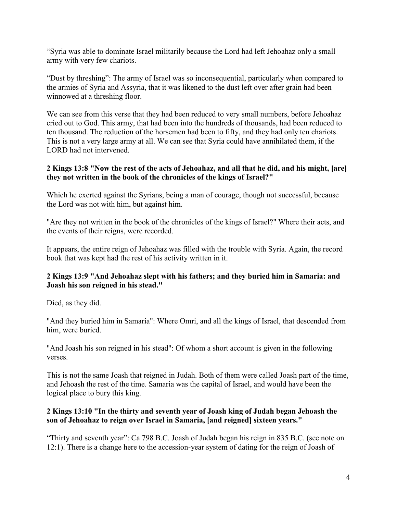"Syria was able to dominate Israel militarily because the Lord had left Jehoahaz only a small army with very few chariots.

"Dust by threshing": The army of Israel was so inconsequential, particularly when compared to the armies of Syria and Assyria, that it was likened to the dust left over after grain had been winnowed at a threshing floor.

We can see from this verse that they had been reduced to very small numbers, before Jehoahaz cried out to God. This army, that had been into the hundreds of thousands, had been reduced to ten thousand. The reduction of the horsemen had been to fifty, and they had only ten chariots. This is not a very large army at all. We can see that Syria could have annihilated them, if the LORD had not intervened.

#### **2 Kings 13:8 "Now the rest of the acts of Jehoahaz, and all that he did, and his might, [are] they not written in the book of the chronicles of the kings of Israel?"**

Which he exerted against the Syrians, being a man of courage, though not successful, because the Lord was not with him, but against him.

"Are they not written in the book of the chronicles of the kings of Israel?" Where their acts, and the events of their reigns, were recorded.

It appears, the entire reign of Jehoahaz was filled with the trouble with Syria. Again, the record book that was kept had the rest of his activity written in it.

### **2 Kings 13:9 "And Jehoahaz slept with his fathers; and they buried him in Samaria: and Joash his son reigned in his stead."**

Died, as they did.

"And they buried him in Samaria": Where Omri, and all the kings of Israel, that descended from him, were buried.

"And Joash his son reigned in his stead": Of whom a short account is given in the following verses.

This is not the same Joash that reigned in Judah. Both of them were called Joash part of the time, and Jehoash the rest of the time. Samaria was the capital of Israel, and would have been the logical place to bury this king.

### **2 Kings 13:10 "In the thirty and seventh year of Joash king of Judah began Jehoash the son of Jehoahaz to reign over Israel in Samaria, [and reigned] sixteen years."**

"Thirty and seventh year": Ca 798 B.C. Joash of Judah began his reign in 835 B.C. (see note on 12:1). There is a change here to the accession-year system of dating for the reign of Joash of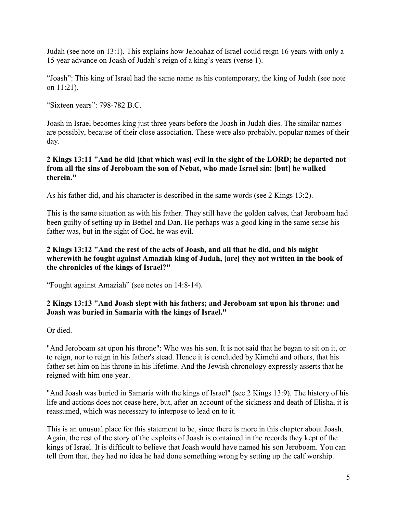Judah (see note on 13:1). This explains how Jehoahaz of Israel could reign 16 years with only a 15 year advance on Joash of Judah's reign of a king's years (verse 1).

"Joash": This king of Israel had the same name as his contemporary, the king of Judah (see note on 11:21).

"Sixteen years": 798-782 B.C.

Joash in Israel becomes king just three years before the Joash in Judah dies. The similar names are possibly, because of their close association. These were also probably, popular names of their day.

#### **2 Kings 13:11 "And he did [that which was] evil in the sight of the LORD; he departed not from all the sins of Jeroboam the son of Nebat, who made Israel sin: [but] he walked therein."**

As his father did, and his character is described in the same words (see 2 Kings 13:2).

This is the same situation as with his father. They still have the golden calves, that Jeroboam had been guilty of setting up in Bethel and Dan. He perhaps was a good king in the same sense his father was, but in the sight of God, he was evil.

#### **2 Kings 13:12 "And the rest of the acts of Joash, and all that he did, and his might wherewith he fought against Amaziah king of Judah, [are] they not written in the book of the chronicles of the kings of Israel?"**

"Fought against Amaziah" (see notes on 14:8-14).

#### **2 Kings 13:13 "And Joash slept with his fathers; and Jeroboam sat upon his throne: and Joash was buried in Samaria with the kings of Israel."**

Or died.

"And Jeroboam sat upon his throne": Who was his son. It is not said that he began to sit on it, or to reign, nor to reign in his father's stead. Hence it is concluded by Kimchi and others, that his father set him on his throne in his lifetime. And the Jewish chronology expressly asserts that he reigned with him one year.

"And Joash was buried in Samaria with the kings of Israel" (see 2 Kings 13:9). The history of his life and actions does not cease here, but, after an account of the sickness and death of Elisha, it is reassumed, which was necessary to interpose to lead on to it.

This is an unusual place for this statement to be, since there is more in this chapter about Joash. Again, the rest of the story of the exploits of Joash is contained in the records they kept of the kings of Israel. It is difficult to believe that Joash would have named his son Jeroboam. You can tell from that, they had no idea he had done something wrong by setting up the calf worship.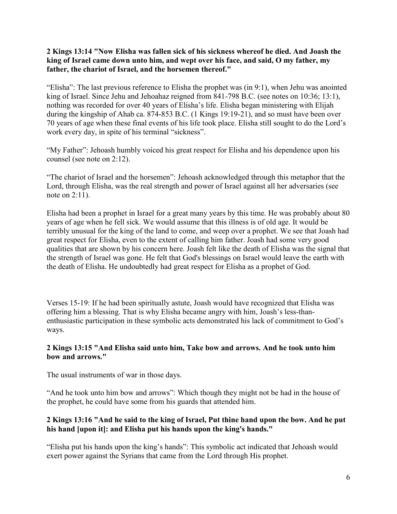#### **2 Kings 13:14 "Now Elisha was fallen sick of his sickness whereof he died. And Joash the king of Israel came down unto him, and wept over his face, and said, O my father, my father, the chariot of Israel, and the horsemen thereof."**

"Elisha": The last previous reference to Elisha the prophet was  $(in 9:1)$ , when Jehu was anointed king of Israel. Since Jehu and Jehoahaz reigned from 841-798 B.C. (see notes on 10:36; 13:1), nothing was recorded for over 40 years of Elisha's life. Elisha began ministering with Elijah during the kingship of Ahab ca. 874-853 B.C. (1 Kings 19:19-21), and so must have been over 70 years of age when these final events of his life took place. Elisha still sought to do the Lord's work every day, in spite of his terminal "sickness".

"My Father": Jehoash humbly voiced his great respect for Elisha and his dependence upon his counsel (see note on 2:12).

"The chariot of Israel and the horsemen": Jehoash acknowledged through this metaphor that the Lord, through Elisha, was the real strength and power of Israel against all her adversaries (see note on 2:11).

Elisha had been a prophet in Israel for a great many years by this time. He was probably about 80 years of age when he fell sick. We would assume that this illness is of old age. It would be terribly unusual for the king of the land to come, and weep over a prophet. We see that Joash had great respect for Elisha, even to the extent of calling him father. Joash had some very good qualities that are shown by his concern here. Joash felt like the death of Elisha was the signal that the strength of Israel was gone. He felt that God's blessings on Israel would leave the earth with the death of Elisha. He undoubtedly had great respect for Elisha as a prophet of God.

Verses 15-19: If he had been spiritually astute, Joash would have recognized that Elisha was offering him a blessing. That is why Elisha became angry with him, Joash's less-thanenthusiastic participation in these symbolic acts demonstrated his lack of commitment to God's ways.

### **2 Kings 13:15 "And Elisha said unto him, Take bow and arrows. And he took unto him bow and arrows."**

The usual instruments of war in those days.

"And he took unto him bow and arrows": Which though they might not be had in the house of the prophet, he could have some from his guards that attended him.

# **2 Kings 13:16 "And he said to the king of Israel, Put thine hand upon the bow. And he put his hand [upon it]: and Elisha put his hands upon the king's hands."**

"Elisha put his hands upon the king's hands": This symbolic act indicated that Jehoash would exert power against the Syrians that came from the Lord through His prophet.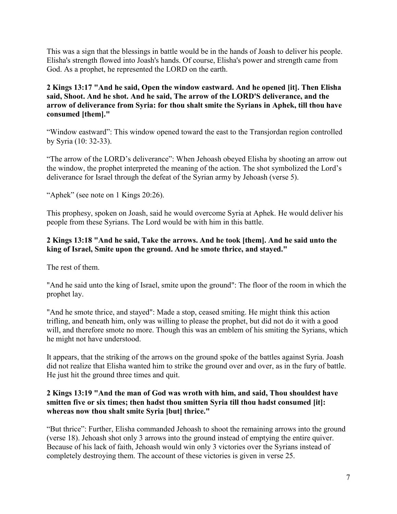This was a sign that the blessings in battle would be in the hands of Joash to deliver his people. Elisha's strength flowed into Joash's hands. Of course, Elisha's power and strength came from God. As a prophet, he represented the LORD on the earth.

**2 Kings 13:17 "And he said, Open the window eastward. And he opened [it]. Then Elisha said, Shoot. And he shot. And he said, The arrow of the LORD'S deliverance, and the arrow of deliverance from Syria: for thou shalt smite the Syrians in Aphek, till thou have consumed [them]."**

"Window eastward": This window opened toward the east to the Transjordan region controlled by Syria (10: 32-33).

"The arrow of the LORD's deliverance": When Jehoash obeyed Elisha by shooting an arrow out the window, the prophet interpreted the meaning of the action. The shot symbolized the Lord's deliverance for Israel through the defeat of the Syrian army by Jehoash (verse 5).

"Aphek" (see note on 1 Kings 20:26).

This prophesy, spoken on Joash, said he would overcome Syria at Aphek. He would deliver his people from these Syrians. The Lord would be with him in this battle.

### **2 Kings 13:18 "And he said, Take the arrows. And he took [them]. And he said unto the king of Israel, Smite upon the ground. And he smote thrice, and stayed."**

The rest of them.

"And he said unto the king of Israel, smite upon the ground": The floor of the room in which the prophet lay.

"And he smote thrice, and stayed": Made a stop, ceased smiting. He might think this action trifling, and beneath him, only was willing to please the prophet, but did not do it with a good will, and therefore smote no more. Though this was an emblem of his smiting the Syrians, which he might not have understood.

It appears, that the striking of the arrows on the ground spoke of the battles against Syria. Joash did not realize that Elisha wanted him to strike the ground over and over, as in the fury of battle. He just hit the ground three times and quit.

### **2 Kings 13:19 "And the man of God was wroth with him, and said, Thou shouldest have smitten five or six times; then hadst thou smitten Syria till thou hadst consumed [it]: whereas now thou shalt smite Syria [but] thrice."**

"But thrice": Further, Elisha commanded Jehoash to shoot the remaining arrows into the ground (verse 18). Jehoash shot only 3 arrows into the ground instead of emptying the entire quiver. Because of his lack of faith, Jehoash would win only 3 victories over the Syrians instead of completely destroying them. The account of these victories is given in verse 25.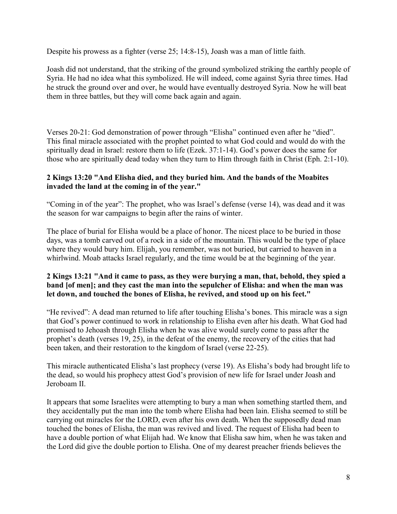Despite his prowess as a fighter (verse 25; 14:8-15), Joash was a man of little faith.

Joash did not understand, that the striking of the ground symbolized striking the earthly people of Syria. He had no idea what this symbolized. He will indeed, come against Syria three times. Had he struck the ground over and over, he would have eventually destroyed Syria. Now he will beat them in three battles, but they will come back again and again.

Verses 20-21: God demonstration of power through "Elisha" continued even after he "died". This final miracle associated with the prophet pointed to what God could and would do with the spiritually dead in Israel: restore them to life (Ezek. 37:1-14). God's power does the same for those who are spiritually dead today when they turn to Him through faith in Christ (Eph. 2:1-10).

### **2 Kings 13:20 "And Elisha died, and they buried him. And the bands of the Moabites invaded the land at the coming in of the year."**

"Coming in of the year": The prophet, who was Israel's defense (verse 14), was dead and it was the season for war campaigns to begin after the rains of winter.

The place of burial for Elisha would be a place of honor. The nicest place to be buried in those days, was a tomb carved out of a rock in a side of the mountain. This would be the type of place where they would bury him. Elijah, you remember, was not buried, but carried to heaven in a whirlwind. Moab attacks Israel regularly, and the time would be at the beginning of the year.

### **2 Kings 13:21 "And it came to pass, as they were burying a man, that, behold, they spied a band [of men]; and they cast the man into the sepulcher of Elisha: and when the man was let down, and touched the bones of Elisha, he revived, and stood up on his feet."**

"He revived": A dead man returned to life after touching Elisha's bones. This miracle was a sign that God's power continued to work in relationship to Elisha even after his death. What God had promised to Jehoash through Elisha when he was alive would surely come to pass after the prophet's death (verses 19, 25), in the defeat of the enemy, the recovery of the cities that had been taken, and their restoration to the kingdom of Israel (verse 22-25).

This miracle authenticated Elisha's last prophecy (verse 19). As Elisha's body had brought life to the dead, so would his prophecy attest God's provision of new life for Israel under Joash and Jeroboam II

It appears that some Israelites were attempting to bury a man when something startled them, and they accidentally put the man into the tomb where Elisha had been lain. Elisha seemed to still be carrying out miracles for the LORD, even after his own death. When the supposedly dead man touched the bones of Elisha, the man was revived and lived. The request of Elisha had been to have a double portion of what Elijah had. We know that Elisha saw him, when he was taken and the Lord did give the double portion to Elisha. One of my dearest preacher friends believes the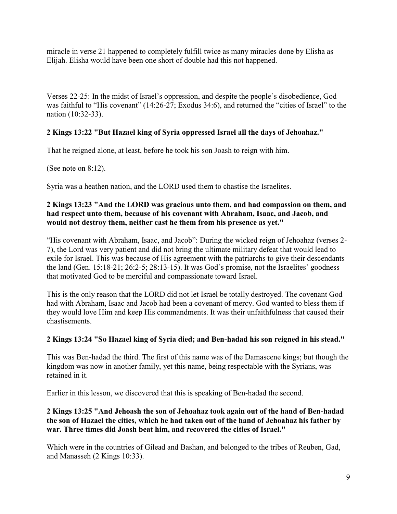miracle in verse 21 happened to completely fulfill twice as many miracles done by Elisha as Elijah. Elisha would have been one short of double had this not happened.

Verses 22-25: In the midst of Israel's oppression, and despite the people's disobedience, God was faithful to "His covenant" (14:26-27; Exodus 34:6), and returned the "cities of Israel" to the nation (10:32-33).

# **2 Kings 13:22 "But Hazael king of Syria oppressed Israel all the days of Jehoahaz."**

That he reigned alone, at least, before he took his son Joash to reign with him.

(See note on 8:12).

Syria was a heathen nation, and the LORD used them to chastise the Israelites.

#### **2 Kings 13:23 "And the LORD was gracious unto them, and had compassion on them, and had respect unto them, because of his covenant with Abraham, Isaac, and Jacob, and would not destroy them, neither cast he them from his presence as yet."**

"His covenant with Abraham, Isaac, and Jacob": During the wicked reign of Jehoahaz (verses 2- 7), the Lord was very patient and did not bring the ultimate military defeat that would lead to exile for Israel. This was because of His agreement with the patriarchs to give their descendants the land (Gen. 15:18-21; 26:2-5; 28:13-15). It was God's promise, not the Israelites' goodness that motivated God to be merciful and compassionate toward Israel.

This is the only reason that the LORD did not let Israel be totally destroyed. The covenant God had with Abraham, Isaac and Jacob had been a covenant of mercy. God wanted to bless them if they would love Him and keep His commandments. It was their unfaithfulness that caused their chastisements.

### **2 Kings 13:24 "So Hazael king of Syria died; and Ben-hadad his son reigned in his stead."**

This was Ben-hadad the third. The first of this name was of the Damascene kings; but though the kingdom was now in another family, yet this name, being respectable with the Syrians, was retained in it.

Earlier in this lesson, we discovered that this is speaking of Ben-hadad the second.

### **2 Kings 13:25 "And Jehoash the son of Jehoahaz took again out of the hand of Ben-hadad the son of Hazael the cities, which he had taken out of the hand of Jehoahaz his father by war. Three times did Joash beat him, and recovered the cities of Israel."**

Which were in the countries of Gilead and Bashan, and belonged to the tribes of Reuben, Gad, and Manasseh (2 Kings 10:33).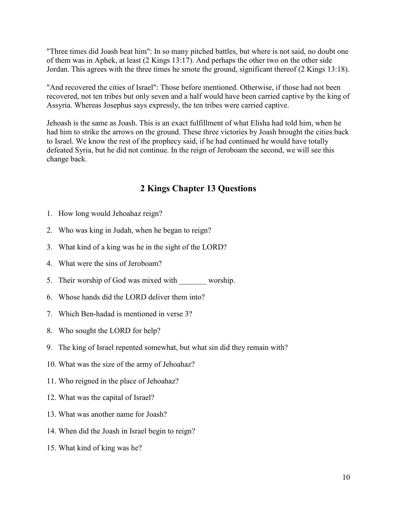"Three times did Joash beat him": In so many pitched battles, but where is not said, no doubt one of them was in Aphek, at least (2 Kings 13:17). And perhaps the other two on the other side Jordan. This agrees with the three times he smote the ground, significant thereof (2 Kings 13:18).

"And recovered the cities of Israel": Those before mentioned. Otherwise, if those had not been recovered, not ten tribes but only seven and a half would have been carried captive by the king of Assyria. Whereas Josephus says expressly, the ten tribes were carried captive.

Jehoash is the same as Joash. This is an exact fulfillment of what Elisha had told him, when he had him to strike the arrows on the ground. These three victories by Joash brought the cities back to Israel. We know the rest of the prophecy said, if he had continued he would have totally defeated Syria, but he did not continue. In the reign of Jeroboam the second, we will see this change back.

# **2 Kings Chapter 13 Questions**

- 1. How long would Jehoahaz reign?
- 2. Who was king in Judah, when he began to reign?
- 3. What kind of a king was he in the sight of the LORD?
- 4. What were the sins of Jeroboam?
- 5. Their worship of God was mixed with worship.
- 6. Whose hands did the LORD deliver them into?
- 7. Which Ben-hadad is mentioned in verse 3?
- 8. Who sought the LORD for help?
- 9. The king of Israel repented somewhat, but what sin did they remain with?
- 10. What was the size of the army of Jehoahaz?
- 11. Who reigned in the place of Jehoahaz?
- 12. What was the capital of Israel?
- 13. What was another name for Joash?
- 14. When did the Joash in Israel begin to reign?
- 15. What kind of king was he?